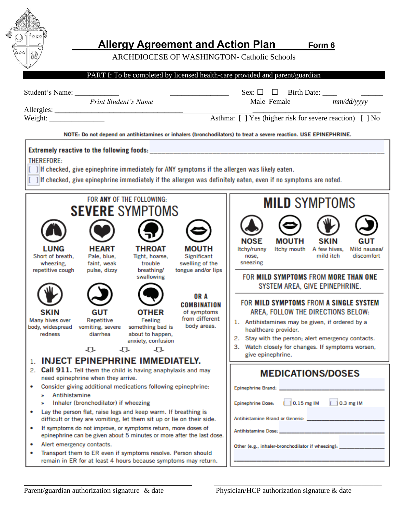

# **Allergy Agreement and Action Plan** *Form 6*

ARCHDIOCESE OF WASHINGTON- Catholic Schools



\_\_\_\_\_\_\_\_\_\_\_\_\_\_\_\_\_\_\_\_\_\_\_\_\_\_\_\_\_\_\_\_\_\_\_\_\_\_\_\_\_\_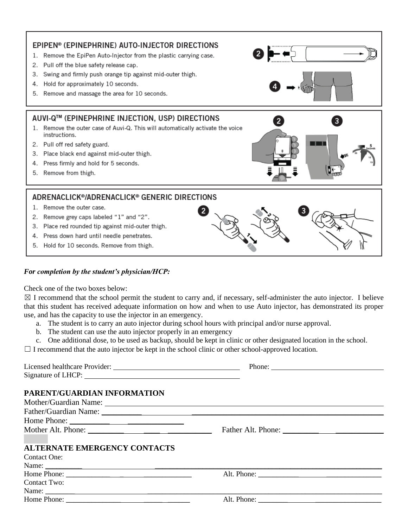

#### *For completion by the student's physician/HCP:*

Check one of the two boxes below:

 $\boxtimes$  I recommend that the school permit the student to carry and, if necessary, self-administer the auto injector. I believe that this student has received adequate information on how and when to use Auto injector, has demonstrated its proper use, and has the capacity to use the injector in an emergency.

- a. The student is to carry an auto injector during school hours with principal and/or nurse approval.
- b. The student can use the auto injector properly in an emergency

c. One additional dose, to be used as backup, should be kept in clinic or other designated location in the school.

 $\Box$  I recommend that the auto injector be kept in the school clinic or other school-approved location.

|                                                                                                                                                                                                                                                                                                                                                                                                                                              | Phone: |
|----------------------------------------------------------------------------------------------------------------------------------------------------------------------------------------------------------------------------------------------------------------------------------------------------------------------------------------------------------------------------------------------------------------------------------------------|--------|
|                                                                                                                                                                                                                                                                                                                                                                                                                                              |        |
|                                                                                                                                                                                                                                                                                                                                                                                                                                              |        |
| PARENT/GUARDIAN INFORMATION                                                                                                                                                                                                                                                                                                                                                                                                                  |        |
| Mother/Guardian Name:                                                                                                                                                                                                                                                                                                                                                                                                                        |        |
|                                                                                                                                                                                                                                                                                                                                                                                                                                              |        |
|                                                                                                                                                                                                                                                                                                                                                                                                                                              |        |
|                                                                                                                                                                                                                                                                                                                                                                                                                                              |        |
|                                                                                                                                                                                                                                                                                                                                                                                                                                              |        |
| <b>ALTERNATE EMERGENCY CONTACTS</b>                                                                                                                                                                                                                                                                                                                                                                                                          |        |
| Contact One:                                                                                                                                                                                                                                                                                                                                                                                                                                 |        |
|                                                                                                                                                                                                                                                                                                                                                                                                                                              |        |
|                                                                                                                                                                                                                                                                                                                                                                                                                                              |        |
| Contact Two:                                                                                                                                                                                                                                                                                                                                                                                                                                 |        |
|                                                                                                                                                                                                                                                                                                                                                                                                                                              |        |
| Home Phone: $\frac{1}{\sqrt{1-\frac{1}{2}} \cdot \frac{1}{\sqrt{1-\frac{1}{2}} \cdot \frac{1}{\sqrt{1-\frac{1}{2}} \cdot \frac{1}{\sqrt{1-\frac{1}{2}} \cdot \frac{1}{\sqrt{1-\frac{1}{2}} \cdot \frac{1}{\sqrt{1-\frac{1}{2}} \cdot \frac{1}{\sqrt{1-\frac{1}{2}} \cdot \frac{1}{\sqrt{1-\frac{1}{2}} \cdot \frac{1}{\sqrt{1-\frac{1}{2}} \cdot \frac{1}{\sqrt{1-\frac{1}{2}} \cdot \frac{1}{\sqrt{1-\frac{1}{2}} \cdot \frac{1}{\sqrt{1-\$ |        |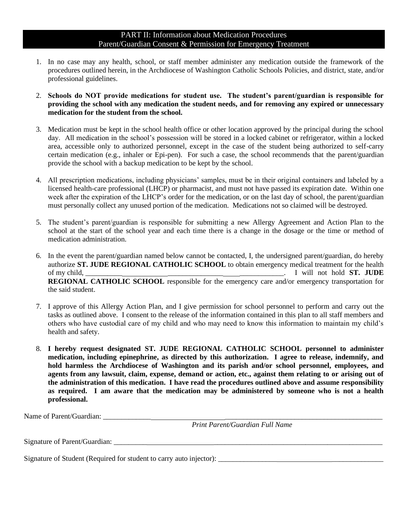### PART II: Information about Medication Procedures Parent/Guardian Consent & Permission for Emergency Treatment

- 1. In no case may any health, school, or staff member administer any medication outside the framework of the procedures outlined herein, in the Archdiocese of Washington Catholic Schools Policies, and district, state, and/or professional guidelines.
- 2. **Schools do NOT provide medications for student use. The student's parent/guardian is responsible for providing the school with any medication the student needs, and for removing any expired or unnecessary medication for the student from the school.**
- 3. Medication must be kept in the school health office or other location approved by the principal during the school day. All medication in the school's possession will be stored in a locked cabinet or refrigerator, within a locked area, accessible only to authorized personnel, except in the case of the student being authorized to self-carry certain medication (e.g., inhaler or Epi-pen). For such a case, the school recommends that the parent/guardian provide the school with a backup medication to be kept by the school.
- 4. All prescription medications, including physicians' samples, must be in their original containers and labeled by a licensed health-care professional (LHCP) or pharmacist, and must not have passed its expiration date. Within one week after the expiration of the LHCP's order for the medication, or on the last day of school, the parent/guardian must personally collect any unused portion of the medication. Medications not so claimed will be destroyed.
- 5. The student's parent/guardian is responsible for submitting a new Allergy Agreement and Action Plan to the school at the start of the school year and each time there is a change in the dosage or the time or method of medication administration.
- 6. In the event the parent/guardian named below cannot be contacted, I, the undersigned parent/guardian, do hereby authorize **ST. JUDE REGIONAL CATHOLIC SCHOOL** to obtain emergency medical treatment for the health of my child, \_\_\_\_\_\_\_\_\_\_ \_\_\_\_\_\_\_\_\_\_\_\_\_\_\_ \_\_\_\_\_\_\_\_\_\_\_\_. I will not hold **ST. JUDE REGIONAL CATHOLIC SCHOOL** responsible for the emergency care and/or emergency transportation for the said student.
- 7. I approve of this Allergy Action Plan, and I give permission for school personnel to perform and carry out the tasks as outlined above. I consent to the release of the information contained in this plan to all staff members and others who have custodial care of my child and who may need to know this information to maintain my child's health and safety.
- 8. **I hereby request designated ST. JUDE REGIONAL CATHOLIC SCHOOL personnel to administer medication, including epinephrine, as directed by this authorization. I agree to release, indemnify, and hold harmless the Archdiocese of Washington and its parish and/or school personnel, employees, and agents from any lawsuit, claim, expense, demand or action, etc., against them relating to or arising out of the administration of this medication. I have read the procedures outlined above and assume responsibility as required. I am aware that the medication may be administered by someone who is not a health professional.**

Name of Parent/Guardian:

*Print Parent/Guardian Full Name*

Signature of Parent/Guardian:

Signature of Student (Required for student to carry auto injector): \_\_\_\_\_\_\_\_\_\_\_\_\_\_\_\_ \_\_\_\_\_\_\_\_\_\_\_\_\_\_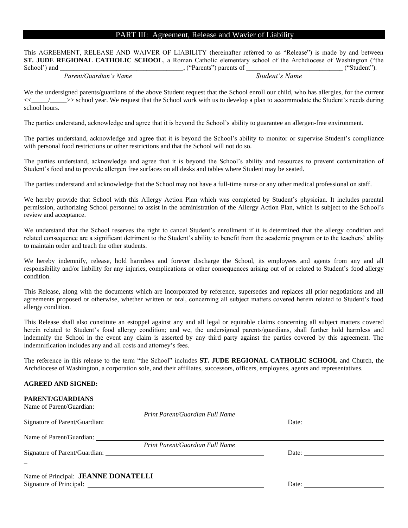### PART III: Agreement, Release and Wavier of Liability

This AGREEMENT, RELEASE AND WAIVER OF LIABILITY (hereinafter referred to as "Release") is made by and between **ST. JUDE REGIONAL CATHOLIC SCHOOL**, a Roman Catholic elementary school of the Archdiocese of Washington ("the School') and <br>  $($  ("Parents") parents of  $($  ("Student").

*Parent/Guardian's Name Student's Name*

We the undersigned parents/guardians of the above Student request that the School enroll our child, who has allergies, for the current  $\ge$   $\ge$  school year. We request that the School work with us to develop a plan to accommodate the Student's needs during school hours.

The parties understand, acknowledge and agree that it is beyond the School's ability to guarantee an allergen-free environment.

The parties understand, acknowledge and agree that it is beyond the School's ability to monitor or supervise Student's compliance with personal food restrictions or other restrictions and that the School will not do so.

The parties understand, acknowledge and agree that it is beyond the School's ability and resources to prevent contamination of Student's food and to provide allergen free surfaces on all desks and tables where Student may be seated.

The parties understand and acknowledge that the School may not have a full-time nurse or any other medical professional on staff.

We hereby provide that School with this Allergy Action Plan which was completed by Student's physician. It includes parental permission, authorizing School personnel to assist in the administration of the Allergy Action Plan, which is subject to the School's review and acceptance.

We understand that the School reserves the right to cancel Student's enrollment if it is determined that the allergy condition and related consequence are a significant detriment to the Student's ability to benefit from the academic program or to the teachers' ability to maintain order and teach the other students.

We hereby indemnify, release, hold harmless and forever discharge the School, its employees and agents from any and all responsibility and/or liability for any injuries, complications or other consequences arising out of or related to Student's food allergy condition.

This Release, along with the documents which are incorporated by reference, supersedes and replaces all prior negotiations and all agreements proposed or otherwise, whether written or oral, concerning all subject matters covered herein related to Student's food allergy condition.

This Release shall also constitute an estoppel against any and all legal or equitable claims concerning all subject matters covered herein related to Student's food allergy condition; and we, the undersigned parents/guardians, shall further hold harmless and indemnify the School in the event any claim is asserted by any third party against the parties covered by this agreement. The indemnification includes any and all costs and attorney's fees.

The reference in this release to the term "the School" includes **ST. JUDE REGIONAL CATHOLIC SCHOOL** and Church, the Archdiocese of Washington, a corporation sole, and their affiliates, successors, officers, employees, agents and representatives.

#### **AGREED AND SIGNED:**

**PARENT/GUARDIANS**

| PARENT/GUARDIANS                    |                                 |                                                                                                                                                                                                                                                                                                                                                                                                                                                   |
|-------------------------------------|---------------------------------|---------------------------------------------------------------------------------------------------------------------------------------------------------------------------------------------------------------------------------------------------------------------------------------------------------------------------------------------------------------------------------------------------------------------------------------------------|
|                                     |                                 |                                                                                                                                                                                                                                                                                                                                                                                                                                                   |
|                                     | Print Parent/Guardian Full Name |                                                                                                                                                                                                                                                                                                                                                                                                                                                   |
|                                     |                                 | Date: $\frac{1}{\sqrt{1-\frac{1}{2}} \cdot \frac{1}{2}}$                                                                                                                                                                                                                                                                                                                                                                                          |
|                                     |                                 |                                                                                                                                                                                                                                                                                                                                                                                                                                                   |
|                                     |                                 |                                                                                                                                                                                                                                                                                                                                                                                                                                                   |
|                                     | Print Parent/Guardian Full Name |                                                                                                                                                                                                                                                                                                                                                                                                                                                   |
|                                     |                                 | Date: $\frac{1}{\sqrt{1-\frac{1}{2}} \cdot \frac{1}{2} \cdot \frac{1}{2} \cdot \frac{1}{2} \cdot \frac{1}{2} \cdot \frac{1}{2} \cdot \frac{1}{2} \cdot \frac{1}{2} \cdot \frac{1}{2} \cdot \frac{1}{2} \cdot \frac{1}{2} \cdot \frac{1}{2} \cdot \frac{1}{2} \cdot \frac{1}{2} \cdot \frac{1}{2} \cdot \frac{1}{2} \cdot \frac{1}{2} \cdot \frac{1}{2} \cdot \frac{1}{2} \cdot \frac{1}{2} \cdot \frac{1}{2} \cdot \frac{1}{2} \cdot \frac{1}{2}$ |
|                                     |                                 |                                                                                                                                                                                                                                                                                                                                                                                                                                                   |
|                                     |                                 |                                                                                                                                                                                                                                                                                                                                                                                                                                                   |
| Name of Principal: JEANNE DONATELLI |                                 |                                                                                                                                                                                                                                                                                                                                                                                                                                                   |
|                                     |                                 | Date: $\qquad \qquad$                                                                                                                                                                                                                                                                                                                                                                                                                             |
|                                     |                                 |                                                                                                                                                                                                                                                                                                                                                                                                                                                   |